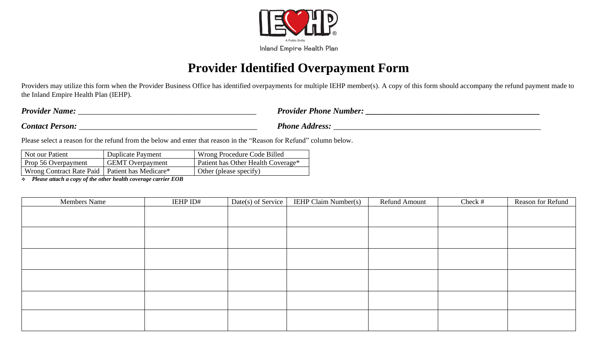

# **Provider Identified Overpayment Form**

Providers may utilize this form when the Provider Business Office has identified overpayments for multiple IEHP member(s). A copy of this form should accompany the refund payment made to the Inland Empire Health Plan (IEHP).

| <b>Provider Name:</b>  | <b>Provider Phone Number:</b> |
|------------------------|-------------------------------|
| <b>Contact Person:</b> | Phone<br>A <i>ddress:</i>     |
|                        |                               |

Please select a reason for the refund from the below and enter that reason in the "Reason for Refund" column below.

| Not our Patient                                  | <b>Duplicate Payment</b> | Wrong Procedure Code Billed        |
|--------------------------------------------------|--------------------------|------------------------------------|
| Prop 56 Overpayment                              | <b>GEMT</b> Overpayment  | Patient has Other Health Coverage* |
| Wrong Contract Rate Paid   Patient has Medicare* |                          | Other (please specify)             |

❖ *Please attach a copy of the other health coverage carrier EOB*

| <b>Members Name</b> | IEHP ID# | Date(s) of Service | <b>IEHP Claim Number(s)</b> | <b>Refund Amount</b> | Check # | Reason for Refund |
|---------------------|----------|--------------------|-----------------------------|----------------------|---------|-------------------|
|                     |          |                    |                             |                      |         |                   |
|                     |          |                    |                             |                      |         |                   |
|                     |          |                    |                             |                      |         |                   |
|                     |          |                    |                             |                      |         |                   |
|                     |          |                    |                             |                      |         |                   |
|                     |          |                    |                             |                      |         |                   |
|                     |          |                    |                             |                      |         |                   |
|                     |          |                    |                             |                      |         |                   |
|                     |          |                    |                             |                      |         |                   |
|                     |          |                    |                             |                      |         |                   |
|                     |          |                    |                             |                      |         |                   |
|                     |          |                    |                             |                      |         |                   |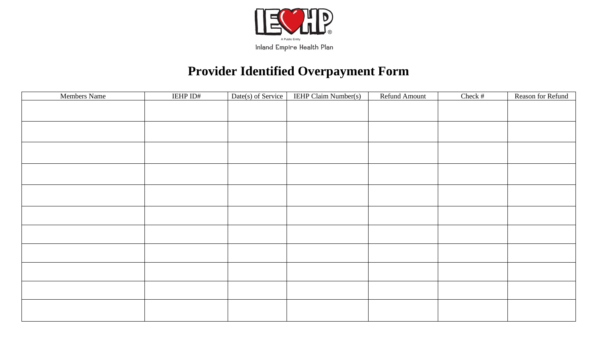

# **Provider Identified Overpayment Form**

| Members Name | IEHP ID# | Date(s) of Service | <b>IEHP Claim Number(s)</b> | Refund Amount | Check # | Reason for Refund |
|--------------|----------|--------------------|-----------------------------|---------------|---------|-------------------|
|              |          |                    |                             |               |         |                   |
|              |          |                    |                             |               |         |                   |
|              |          |                    |                             |               |         |                   |
|              |          |                    |                             |               |         |                   |
|              |          |                    |                             |               |         |                   |
|              |          |                    |                             |               |         |                   |
|              |          |                    |                             |               |         |                   |
|              |          |                    |                             |               |         |                   |
|              |          |                    |                             |               |         |                   |
|              |          |                    |                             |               |         |                   |
|              |          |                    |                             |               |         |                   |
|              |          |                    |                             |               |         |                   |
|              |          |                    |                             |               |         |                   |
|              |          |                    |                             |               |         |                   |
|              |          |                    |                             |               |         |                   |
|              |          |                    |                             |               |         |                   |
|              |          |                    |                             |               |         |                   |
|              |          |                    |                             |               |         |                   |
|              |          |                    |                             |               |         |                   |
|              |          |                    |                             |               |         |                   |
|              |          |                    |                             |               |         |                   |
|              |          |                    |                             |               |         |                   |
|              |          |                    |                             |               |         |                   |
|              |          |                    |                             |               |         |                   |
|              |          |                    |                             |               |         |                   |